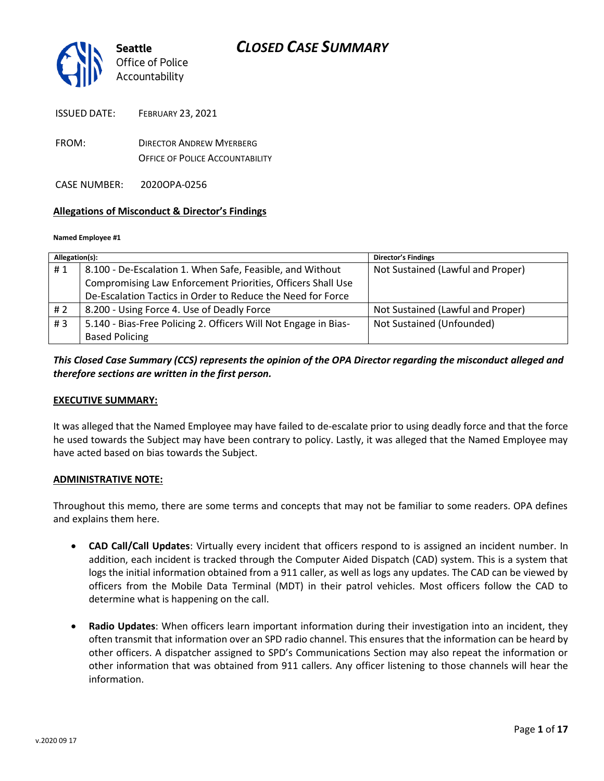

- FROM: DIRECTOR ANDREW MYERBERG OFFICE OF POLICE ACCOUNTABILITY
- CASE NUMBER: 2020OPA-0256

#### **Allegations of Misconduct & Director's Findings**

#### **Named Employee #1**

| Allegation(s): |                                                                 | <b>Director's Findings</b>        |
|----------------|-----------------------------------------------------------------|-----------------------------------|
| #1             | 8.100 - De-Escalation 1. When Safe, Feasible, and Without       | Not Sustained (Lawful and Proper) |
|                | Compromising Law Enforcement Priorities, Officers Shall Use     |                                   |
|                | De-Escalation Tactics in Order to Reduce the Need for Force     |                                   |
| # 2            | 8.200 - Using Force 4. Use of Deadly Force                      | Not Sustained (Lawful and Proper) |
| #3             | 5.140 - Bias-Free Policing 2. Officers Will Not Engage in Bias- | Not Sustained (Unfounded)         |
|                | <b>Based Policing</b>                                           |                                   |

# *This Closed Case Summary (CCS) represents the opinion of the OPA Director regarding the misconduct alleged and therefore sections are written in the first person.*

#### **EXECUTIVE SUMMARY:**

It was alleged that the Named Employee may have failed to de-escalate prior to using deadly force and that the force he used towards the Subject may have been contrary to policy. Lastly, it was alleged that the Named Employee may have acted based on bias towards the Subject.

#### **ADMINISTRATIVE NOTE:**

Throughout this memo, there are some terms and concepts that may not be familiar to some readers. OPA defines and explains them here.

- **CAD Call/Call Updates**: Virtually every incident that officers respond to is assigned an incident number. In addition, each incident is tracked through the Computer Aided Dispatch (CAD) system. This is a system that logs the initial information obtained from a 911 caller, as well as logs any updates. The CAD can be viewed by officers from the Mobile Data Terminal (MDT) in their patrol vehicles. Most officers follow the CAD to determine what is happening on the call.
- **Radio Updates**: When officers learn important information during their investigation into an incident, they often transmit that information over an SPD radio channel. This ensures that the information can be heard by other officers. A dispatcher assigned to SPD's Communications Section may also repeat the information or other information that was obtained from 911 callers. Any officer listening to those channels will hear the information.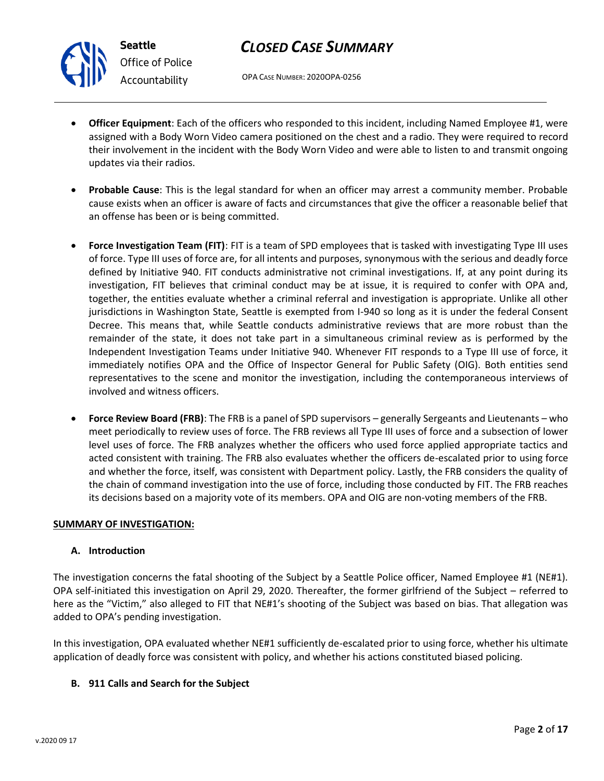

# *CLOSED CASE SUMMARY*

OPA CASE NUMBER: 2020OPA-0256

- **Officer Equipment**: Each of the officers who responded to this incident, including Named Employee #1, were assigned with a Body Worn Video camera positioned on the chest and a radio. They were required to record their involvement in the incident with the Body Worn Video and were able to listen to and transmit ongoing updates via their radios.
- **Probable Cause**: This is the legal standard for when an officer may arrest a community member. Probable cause exists when an officer is aware of facts and circumstances that give the officer a reasonable belief that an offense has been or is being committed.
- **Force Investigation Team (FIT)**: FIT is a team of SPD employees that is tasked with investigating Type III uses of force. Type III uses of force are, for all intents and purposes, synonymous with the serious and deadly force defined by Initiative 940. FIT conducts administrative not criminal investigations. If, at any point during its investigation, FIT believes that criminal conduct may be at issue, it is required to confer with OPA and, together, the entities evaluate whether a criminal referral and investigation is appropriate. Unlike all other jurisdictions in Washington State, Seattle is exempted from I-940 so long as it is under the federal Consent Decree. This means that, while Seattle conducts administrative reviews that are more robust than the remainder of the state, it does not take part in a simultaneous criminal review as is performed by the Independent Investigation Teams under Initiative 940. Whenever FIT responds to a Type III use of force, it immediately notifies OPA and the Office of Inspector General for Public Safety (OIG). Both entities send representatives to the scene and monitor the investigation, including the contemporaneous interviews of involved and witness officers.
- **Force Review Board (FRB)**: The FRB is a panel of SPD supervisors generally Sergeants and Lieutenants who meet periodically to review uses of force. The FRB reviews all Type III uses of force and a subsection of lower level uses of force. The FRB analyzes whether the officers who used force applied appropriate tactics and acted consistent with training. The FRB also evaluates whether the officers de-escalated prior to using force and whether the force, itself, was consistent with Department policy. Lastly, the FRB considers the quality of the chain of command investigation into the use of force, including those conducted by FIT. The FRB reaches its decisions based on a majority vote of its members. OPA and OIG are non-voting members of the FRB.

# **SUMMARY OF INVESTIGATION:**

# **A. Introduction**

The investigation concerns the fatal shooting of the Subject by a Seattle Police officer, Named Employee #1 (NE#1). OPA self-initiated this investigation on April 29, 2020. Thereafter, the former girlfriend of the Subject – referred to here as the "Victim," also alleged to FIT that NE#1's shooting of the Subject was based on bias. That allegation was added to OPA's pending investigation.

In this investigation, OPA evaluated whether NE#1 sufficiently de-escalated prior to using force, whether his ultimate application of deadly force was consistent with policy, and whether his actions constituted biased policing.

# **B. 911 Calls and Search for the Subject**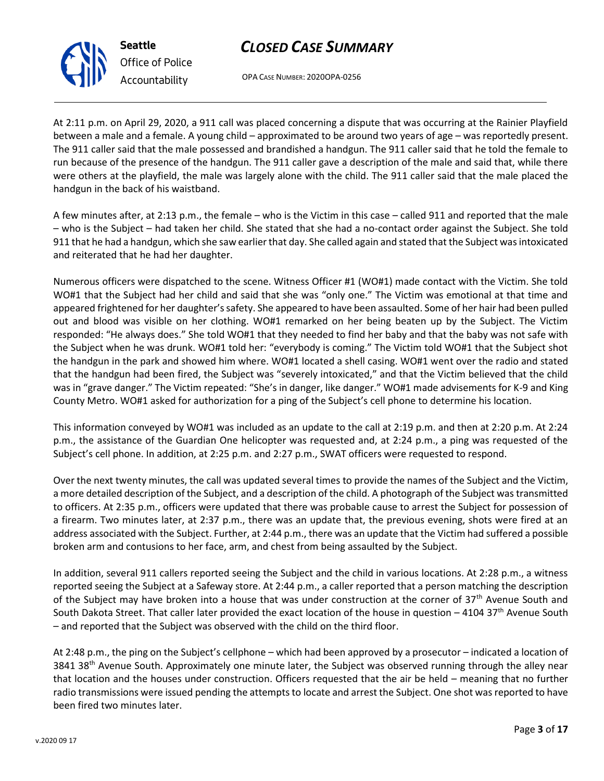

OPA CASE NUMBER: 2020OPA-0256

At 2:11 p.m. on April 29, 2020, a 911 call was placed concerning a dispute that was occurring at the Rainier Playfield between a male and a female. A young child – approximated to be around two years of age – was reportedly present. The 911 caller said that the male possessed and brandished a handgun. The 911 caller said that he told the female to run because of the presence of the handgun. The 911 caller gave a description of the male and said that, while there were others at the playfield, the male was largely alone with the child. The 911 caller said that the male placed the handgun in the back of his waistband.

A few minutes after, at 2:13 p.m., the female – who is the Victim in this case – called 911 and reported that the male – who is the Subject – had taken her child. She stated that she had a no-contact order against the Subject. She told 911 that he had a handgun, which she saw earlier that day. She called again and stated that the Subject was intoxicated and reiterated that he had her daughter.

Numerous officers were dispatched to the scene. Witness Officer #1 (WO#1) made contact with the Victim. She told WO#1 that the Subject had her child and said that she was "only one." The Victim was emotional at that time and appeared frightened for her daughter's safety. She appeared to have been assaulted. Some of her hair had been pulled out and blood was visible on her clothing. WO#1 remarked on her being beaten up by the Subject. The Victim responded: "He always does." She told WO#1 that they needed to find her baby and that the baby was not safe with the Subject when he was drunk. WO#1 told her: "everybody is coming." The Victim told WO#1 that the Subject shot the handgun in the park and showed him where. WO#1 located a shell casing. WO#1 went over the radio and stated that the handgun had been fired, the Subject was "severely intoxicated," and that the Victim believed that the child was in "grave danger." The Victim repeated: "She's in danger, like danger." WO#1 made advisements for K-9 and King County Metro. WO#1 asked for authorization for a ping of the Subject's cell phone to determine his location.

This information conveyed by WO#1 was included as an update to the call at 2:19 p.m. and then at 2:20 p.m. At 2:24 p.m., the assistance of the Guardian One helicopter was requested and, at 2:24 p.m., a ping was requested of the Subject's cell phone. In addition, at 2:25 p.m. and 2:27 p.m., SWAT officers were requested to respond.

Over the next twenty minutes, the call was updated several times to provide the names of the Subject and the Victim, a more detailed description of the Subject, and a description of the child. A photograph of the Subject was transmitted to officers. At 2:35 p.m., officers were updated that there was probable cause to arrest the Subject for possession of a firearm. Two minutes later, at 2:37 p.m., there was an update that, the previous evening, shots were fired at an address associated with the Subject. Further, at 2:44 p.m., there was an update that the Victim had suffered a possible broken arm and contusions to her face, arm, and chest from being assaulted by the Subject.

In addition, several 911 callers reported seeing the Subject and the child in various locations. At 2:28 p.m., a witness reported seeing the Subject at a Safeway store. At 2:44 p.m., a caller reported that a person matching the description of the Subject may have broken into a house that was under construction at the corner of 37<sup>th</sup> Avenue South and South Dakota Street. That caller later provided the exact location of the house in question – 4104 37<sup>th</sup> Avenue South – and reported that the Subject was observed with the child on the third floor.

At 2:48 p.m., the ping on the Subject's cellphone – which had been approved by a prosecutor – indicated a location of 3841 38<sup>th</sup> Avenue South. Approximately one minute later, the Subject was observed running through the alley near that location and the houses under construction. Officers requested that the air be held – meaning that no further radio transmissions were issued pending the attempts to locate and arrest the Subject. One shot was reported to have been fired two minutes later.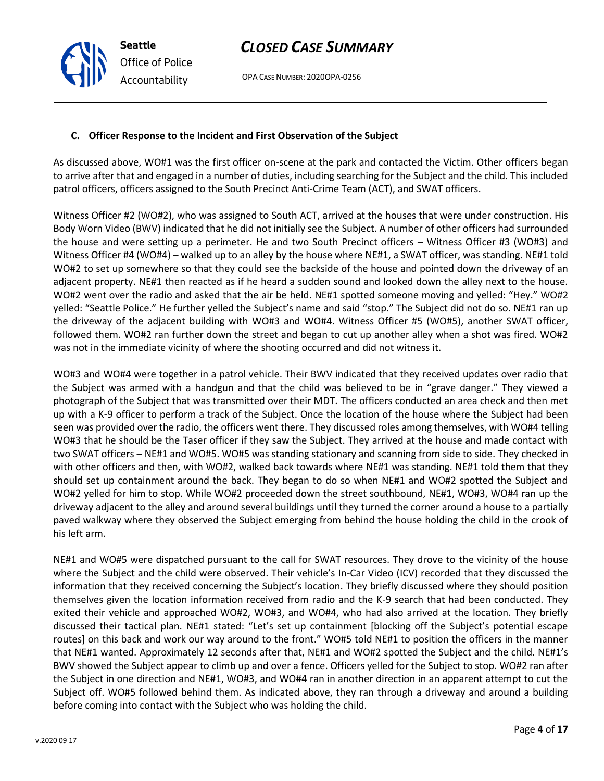OPA CASE NUMBER: 2020OPA-0256

# **C. Officer Response to the Incident and First Observation of the Subject**

As discussed above, WO#1 was the first officer on-scene at the park and contacted the Victim. Other officers began to arrive after that and engaged in a number of duties, including searching for the Subject and the child. This included patrol officers, officers assigned to the South Precinct Anti-Crime Team (ACT), and SWAT officers.

Witness Officer #2 (WO#2), who was assigned to South ACT, arrived at the houses that were under construction. His Body Worn Video (BWV) indicated that he did not initially see the Subject. A number of other officers had surrounded the house and were setting up a perimeter. He and two South Precinct officers – Witness Officer #3 (WO#3) and Witness Officer #4 (WO#4) – walked up to an alley by the house where NE#1, a SWAT officer, was standing. NE#1 told WO#2 to set up somewhere so that they could see the backside of the house and pointed down the driveway of an adjacent property. NE#1 then reacted as if he heard a sudden sound and looked down the alley next to the house. WO#2 went over the radio and asked that the air be held. NE#1 spotted someone moving and yelled: "Hey." WO#2 yelled: "Seattle Police." He further yelled the Subject's name and said "stop." The Subject did not do so. NE#1 ran up the driveway of the adjacent building with WO#3 and WO#4. Witness Officer #5 (WO#5), another SWAT officer, followed them. WO#2 ran further down the street and began to cut up another alley when a shot was fired. WO#2 was not in the immediate vicinity of where the shooting occurred and did not witness it.

WO#3 and WO#4 were together in a patrol vehicle. Their BWV indicated that they received updates over radio that the Subject was armed with a handgun and that the child was believed to be in "grave danger." They viewed a photograph of the Subject that was transmitted over their MDT. The officers conducted an area check and then met up with a K-9 officer to perform a track of the Subject. Once the location of the house where the Subject had been seen was provided over the radio, the officers went there. They discussed roles among themselves, with WO#4 telling WO#3 that he should be the Taser officer if they saw the Subject. They arrived at the house and made contact with two SWAT officers – NE#1 and WO#5. WO#5 was standing stationary and scanning from side to side. They checked in with other officers and then, with WO#2, walked back towards where NE#1 was standing. NE#1 told them that they should set up containment around the back. They began to do so when NE#1 and WO#2 spotted the Subject and WO#2 yelled for him to stop. While WO#2 proceeded down the street southbound, NE#1, WO#3, WO#4 ran up the driveway adjacent to the alley and around several buildings until they turned the corner around a house to a partially paved walkway where they observed the Subject emerging from behind the house holding the child in the crook of his left arm.

NE#1 and WO#5 were dispatched pursuant to the call for SWAT resources. They drove to the vicinity of the house where the Subject and the child were observed. Their vehicle's In-Car Video (ICV) recorded that they discussed the information that they received concerning the Subject's location. They briefly discussed where they should position themselves given the location information received from radio and the K-9 search that had been conducted. They exited their vehicle and approached WO#2, WO#3, and WO#4, who had also arrived at the location. They briefly discussed their tactical plan. NE#1 stated: "Let's set up containment [blocking off the Subject's potential escape routes] on this back and work our way around to the front." WO#5 told NE#1 to position the officers in the manner that NE#1 wanted. Approximately 12 seconds after that, NE#1 and WO#2 spotted the Subject and the child. NE#1's BWV showed the Subject appear to climb up and over a fence. Officers yelled for the Subject to stop. WO#2 ran after the Subject in one direction and NE#1, WO#3, and WO#4 ran in another direction in an apparent attempt to cut the Subject off. WO#5 followed behind them. As indicated above, they ran through a driveway and around a building before coming into contact with the Subject who was holding the child.

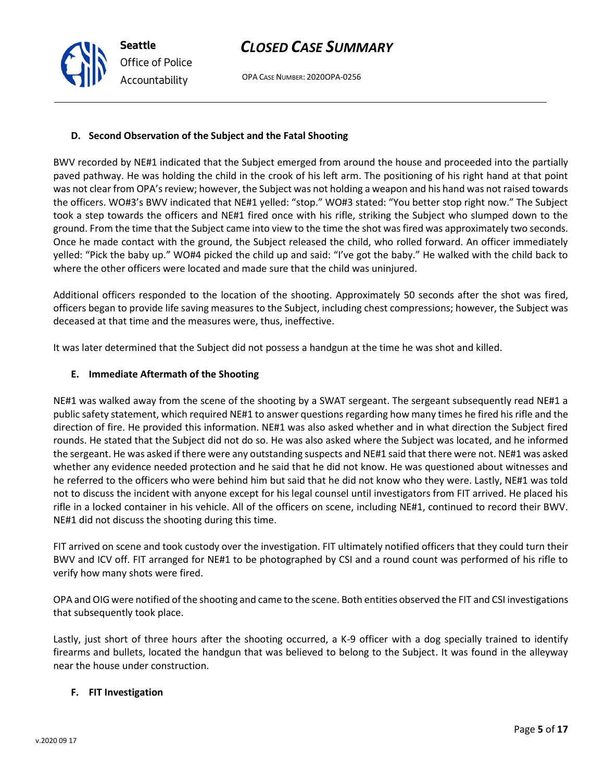OPA CASE NUMBER: 2020OPA-0256

# **D. Second Observation of the Subject and the Fatal Shooting**

BWV recorded by NE#1 indicated that the Subject emerged from around the house and proceeded into the partially paved pathway. He was holding the child in the crook of his left arm. The positioning of his right hand at that point was not clear from OPA's review; however, the Subject was not holding a weapon and his hand was not raised towards the officers. WO#3's BWV indicated that NE#1 yelled: "stop." WO#3 stated: "You better stop right now." The Subject took a step towards the officers and NE#1 fired once with his rifle, striking the Subject who slumped down to the ground. From the time that the Subject came into view to the time the shot was fired was approximately two seconds. Once he made contact with the ground, the Subject released the child, who rolled forward. An officer immediately yelled: "Pick the baby up." WO#4 picked the child up and said: "I've got the baby." He walked with the child back to where the other officers were located and made sure that the child was uninjured.

Additional officers responded to the location of the shooting. Approximately 50 seconds after the shot was fired, officers began to provide life saving measures to the Subject, including chest compressions; however, the Subject was deceased at that time and the measures were, thus, ineffective.

It was later determined that the Subject did not possess a handgun at the time he was shot and killed.

# **E. Immediate Aftermath of the Shooting**

NE#1 was walked away from the scene of the shooting by a SWAT sergeant. The sergeant subsequently read NE#1 a public safety statement, which required NE#1 to answer questions regarding how many times he fired his rifle and the direction of fire. He provided this information. NE#1 was also asked whether and in what direction the Subject fired rounds. He stated that the Subject did not do so. He was also asked where the Subject was located, and he informed the sergeant. He was asked if there were any outstanding suspects and NE#1 said that there were not. NE#1 was asked whether any evidence needed protection and he said that he did not know. He was questioned about witnesses and he referred to the officers who were behind him but said that he did not know who they were. Lastly, NE#1 was told not to discuss the incident with anyone except for his legal counsel until investigators from FIT arrived. He placed his rifle in a locked container in his vehicle. All of the officers on scene, including NE#1, continued to record their BWV. NE#1 did not discuss the shooting during this time.

FIT arrived on scene and took custody over the investigation. FIT ultimately notified officers that they could turn their BWV and ICV off. FIT arranged for NE#1 to be photographed by CSI and a round count was performed of his rifle to verify how many shots were fired.

OPA and OIG were notified of the shooting and came to the scene. Both entities observed the FIT and CSI investigations that subsequently took place.

Lastly, just short of three hours after the shooting occurred, a K-9 officer with a dog specially trained to identify firearms and bullets, located the handgun that was believed to belong to the Subject. It was found in the alleyway near the house under construction.

# **F. FIT Investigation**



**Seattle** *Office of Police Accountability*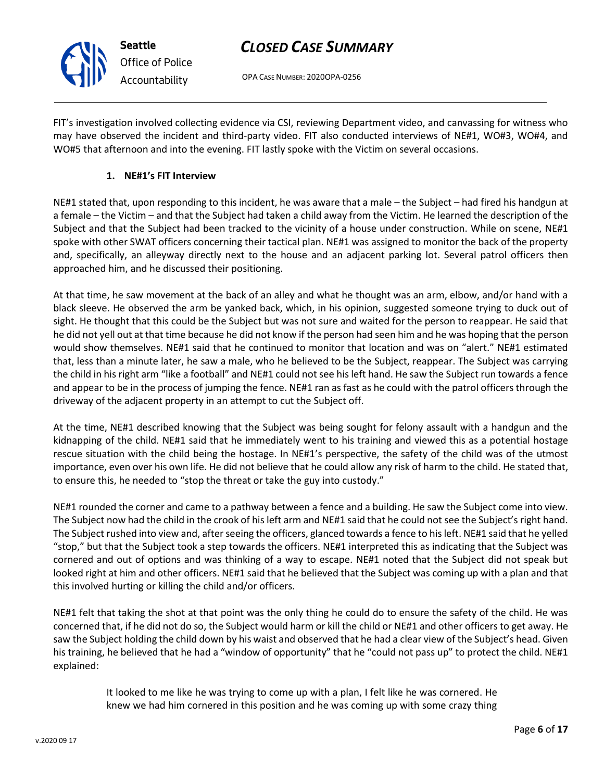OPA CASE NUMBER: 2020OPA-0256

FIT's investigation involved collecting evidence via CSI, reviewing Department video, and canvassing for witness who may have observed the incident and third-party video. FIT also conducted interviews of NE#1, WO#3, WO#4, and WO#5 that afternoon and into the evening. FIT lastly spoke with the Victim on several occasions.

### **1. NE#1's FIT Interview**

**Seattle**

*Office of Police Accountability*

NE#1 stated that, upon responding to this incident, he was aware that a male – the Subject – had fired his handgun at a female – the Victim – and that the Subject had taken a child away from the Victim. He learned the description of the Subject and that the Subject had been tracked to the vicinity of a house under construction. While on scene, NE#1 spoke with other SWAT officers concerning their tactical plan. NE#1 was assigned to monitor the back of the property and, specifically, an alleyway directly next to the house and an adjacent parking lot. Several patrol officers then approached him, and he discussed their positioning.

At that time, he saw movement at the back of an alley and what he thought was an arm, elbow, and/or hand with a black sleeve. He observed the arm be yanked back, which, in his opinion, suggested someone trying to duck out of sight. He thought that this could be the Subject but was not sure and waited for the person to reappear. He said that he did not yell out at that time because he did not know if the person had seen him and he was hoping that the person would show themselves. NE#1 said that he continued to monitor that location and was on "alert." NE#1 estimated that, less than a minute later, he saw a male, who he believed to be the Subject, reappear. The Subject was carrying the child in his right arm "like a football" and NE#1 could not see his left hand. He saw the Subject run towards a fence and appear to be in the process of jumping the fence. NE#1 ran as fast as he could with the patrol officers through the driveway of the adjacent property in an attempt to cut the Subject off.

At the time, NE#1 described knowing that the Subject was being sought for felony assault with a handgun and the kidnapping of the child. NE#1 said that he immediately went to his training and viewed this as a potential hostage rescue situation with the child being the hostage. In NE#1's perspective, the safety of the child was of the utmost importance, even over his own life. He did not believe that he could allow any risk of harm to the child. He stated that, to ensure this, he needed to "stop the threat or take the guy into custody."

NE#1 rounded the corner and came to a pathway between a fence and a building. He saw the Subject come into view. The Subject now had the child in the crook of his left arm and NE#1 said that he could not see the Subject's right hand. The Subject rushed into view and, after seeing the officers, glanced towards a fence to his left. NE#1 said that he yelled "stop," but that the Subject took a step towards the officers. NE#1 interpreted this as indicating that the Subject was cornered and out of options and was thinking of a way to escape. NE#1 noted that the Subject did not speak but looked right at him and other officers. NE#1 said that he believed that the Subject was coming up with a plan and that this involved hurting or killing the child and/or officers.

NE#1 felt that taking the shot at that point was the only thing he could do to ensure the safety of the child. He was concerned that, if he did not do so, the Subject would harm or kill the child or NE#1 and other officers to get away. He saw the Subject holding the child down by his waist and observed that he had a clear view of the Subject's head. Given his training, he believed that he had a "window of opportunity" that he "could not pass up" to protect the child. NE#1 explained:

It looked to me like he was trying to come up with a plan, I felt like he was cornered. He knew we had him cornered in this position and he was coming up with some crazy thing

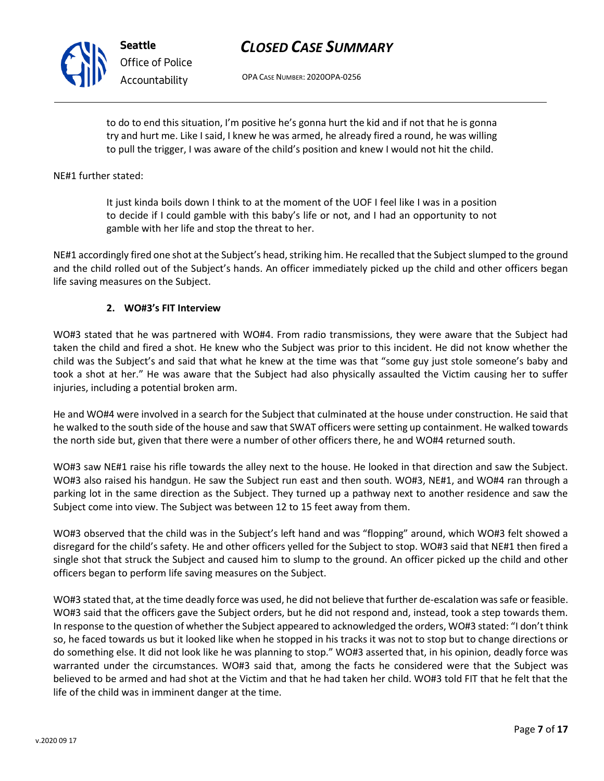

WO#3 stated that, at the time deadly force was used, he did not believe that further de-escalation was safe or feasible. WO#3 said that the officers gave the Subject orders, but he did not respond and, instead, took a step towards them. In response to the question of whether the Subject appeared to acknowledged the orders, WO#3 stated: "I don't think so, he faced towards us but it looked like when he stopped in his tracks it was not to stop but to change directions or do something else. It did not look like he was planning to stop." WO#3 asserted that, in his opinion, deadly force was warranted under the circumstances. WO#3 said that, among the facts he considered were that the Subject was believed to be armed and had shot at the Victim and that he had taken her child. WO#3 told FIT that he felt that the life of the child was in imminent danger at the time.

WO#3 observed that the child was in the Subject's left hand and was "flopping" around, which WO#3 felt showed a disregard for the child's safety. He and other officers yelled for the Subject to stop. WO#3 said that NE#1 then fired a single shot that struck the Subject and caused him to slump to the ground. An officer picked up the child and other officers began to perform life saving measures on the Subject.

the north side but, given that there were a number of other officers there, he and WO#4 returned south. WO#3 saw NE#1 raise his rifle towards the alley next to the house. He looked in that direction and saw the Subject. WO#3 also raised his handgun. He saw the Subject run east and then south. WO#3, NE#1, and WO#4 ran through a

parking lot in the same direction as the Subject. They turned up a pathway next to another residence and saw the

took a shot at her." He was aware that the Subject had also physically assaulted the Victim causing her to suffer injuries, including a potential broken arm. He and WO#4 were involved in a search for the Subject that culminated at the house under construction. He said that he walked to the south side of the house and saw that SWAT officers were setting up containment. He walked towards

WO#3 stated that he was partnered with WO#4. From radio transmissions, they were aware that the Subject had taken the child and fired a shot. He knew who the Subject was prior to this incident. He did not know whether the child was the Subject's and said that what he knew at the time was that "some guy just stole someone's baby and

NE#1 accordingly fired one shot at the Subject's head, striking him. He recalled that the Subject slumped to the ground and the child rolled out of the Subject's hands. An officer immediately picked up the child and other officers began life saving measures on the Subject.

# **2. WO#3's FIT Interview**

gamble with her life and stop the threat to her.

Subject come into view. The Subject was between 12 to 15 feet away from them.

**Seattle**

*Office of Police*

*Accountability*

It just kinda boils down I think to at the moment of the UOF I feel like I was in a position to decide if I could gamble with this baby's life or not, and I had an opportunity to not

to do to end this situation, I'm positive he's gonna hurt the kid and if not that he is gonna try and hurt me. Like I said, I knew he was armed, he already fired a round, he was willing to pull the trigger, I was aware of the child's position and knew I would not hit the child.

# *CLOSED CASE SUMMARY*

OPA CASE NUMBER: 2020OPA-0256



NE#1 further stated: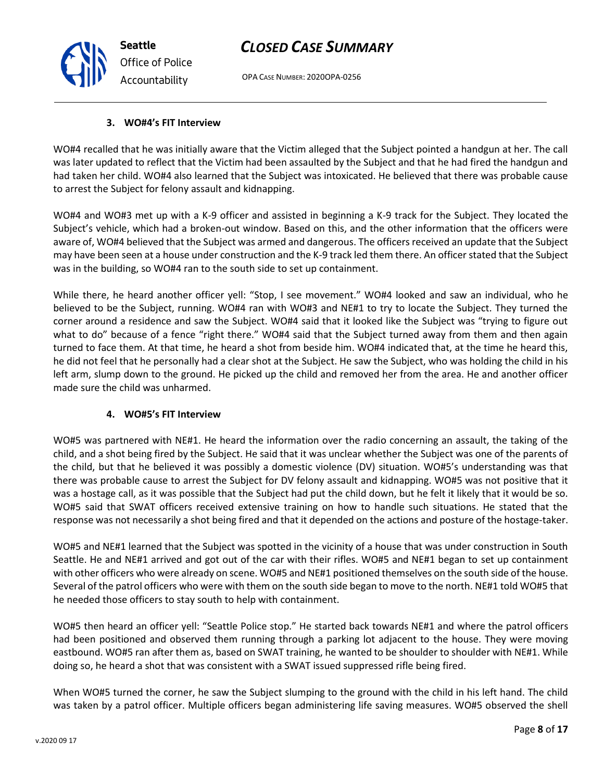OPA CASE NUMBER: 2020OPA-0256

#### **3. WO#4's FIT Interview**

WO#4 recalled that he was initially aware that the Victim alleged that the Subject pointed a handgun at her. The call was later updated to reflect that the Victim had been assaulted by the Subject and that he had fired the handgun and had taken her child. WO#4 also learned that the Subject was intoxicated. He believed that there was probable cause to arrest the Subject for felony assault and kidnapping.

WO#4 and WO#3 met up with a K-9 officer and assisted in beginning a K-9 track for the Subject. They located the Subject's vehicle, which had a broken-out window. Based on this, and the other information that the officers were aware of, WO#4 believed that the Subject was armed and dangerous. The officers received an update that the Subject may have been seen at a house under construction and the K-9 track led them there. An officer stated that the Subject was in the building, so WO#4 ran to the south side to set up containment.

While there, he heard another officer yell: "Stop, I see movement." WO#4 looked and saw an individual, who he believed to be the Subject, running. WO#4 ran with WO#3 and NE#1 to try to locate the Subject. They turned the corner around a residence and saw the Subject. WO#4 said that it looked like the Subject was "trying to figure out what to do" because of a fence "right there." WO#4 said that the Subject turned away from them and then again turned to face them. At that time, he heard a shot from beside him. WO#4 indicated that, at the time he heard this, he did not feel that he personally had a clear shot at the Subject. He saw the Subject, who was holding the child in his left arm, slump down to the ground. He picked up the child and removed her from the area. He and another officer made sure the child was unharmed.

#### **4. WO#5's FIT Interview**

WO#5 was partnered with NE#1. He heard the information over the radio concerning an assault, the taking of the child, and a shot being fired by the Subject. He said that it was unclear whether the Subject was one of the parents of the child, but that he believed it was possibly a domestic violence (DV) situation. WO#5's understanding was that there was probable cause to arrest the Subject for DV felony assault and kidnapping. WO#5 was not positive that it was a hostage call, as it was possible that the Subject had put the child down, but he felt it likely that it would be so. WO#5 said that SWAT officers received extensive training on how to handle such situations. He stated that the response was not necessarily a shot being fired and that it depended on the actions and posture of the hostage-taker.

WO#5 and NE#1 learned that the Subject was spotted in the vicinity of a house that was under construction in South Seattle. He and NE#1 arrived and got out of the car with their rifles. WO#5 and NE#1 began to set up containment with other officers who were already on scene. WO#5 and NE#1 positioned themselves on the south side of the house. Several of the patrol officers who were with them on the south side began to move to the north. NE#1 told WO#5 that he needed those officers to stay south to help with containment.

WO#5 then heard an officer yell: "Seattle Police stop." He started back towards NE#1 and where the patrol officers had been positioned and observed them running through a parking lot adjacent to the house. They were moving eastbound. WO#5 ran after them as, based on SWAT training, he wanted to be shoulder to shoulder with NE#1. While doing so, he heard a shot that was consistent with a SWAT issued suppressed rifle being fired.

When WO#5 turned the corner, he saw the Subject slumping to the ground with the child in his left hand. The child was taken by a patrol officer. Multiple officers began administering life saving measures. WO#5 observed the shell



**Seattle** *Office of Police Accountability*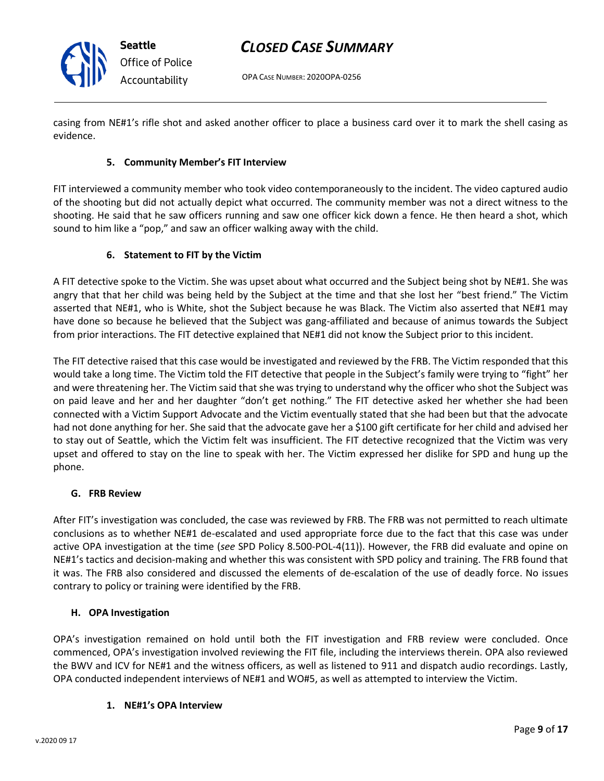



OPA CASE NUMBER: 2020OPA-0256

casing from NE#1's rifle shot and asked another officer to place a business card over it to mark the shell casing as evidence.

# **5. Community Member's FIT Interview**

FIT interviewed a community member who took video contemporaneously to the incident. The video captured audio of the shooting but did not actually depict what occurred. The community member was not a direct witness to the shooting. He said that he saw officers running and saw one officer kick down a fence. He then heard a shot, which sound to him like a "pop," and saw an officer walking away with the child.

# **6. Statement to FIT by the Victim**

A FIT detective spoke to the Victim. She was upset about what occurred and the Subject being shot by NE#1. She was angry that that her child was being held by the Subject at the time and that she lost her "best friend." The Victim asserted that NE#1, who is White, shot the Subject because he was Black. The Victim also asserted that NE#1 may have done so because he believed that the Subject was gang-affiliated and because of animus towards the Subject from prior interactions. The FIT detective explained that NE#1 did not know the Subject prior to this incident.

The FIT detective raised that this case would be investigated and reviewed by the FRB. The Victim responded that this would take a long time. The Victim told the FIT detective that people in the Subject's family were trying to "fight" her and were threatening her. The Victim said that she was trying to understand why the officer who shot the Subject was on paid leave and her and her daughter "don't get nothing." The FIT detective asked her whether she had been connected with a Victim Support Advocate and the Victim eventually stated that she had been but that the advocate had not done anything for her. She said that the advocate gave her a \$100 gift certificate for her child and advised her to stay out of Seattle, which the Victim felt was insufficient. The FIT detective recognized that the Victim was very upset and offered to stay on the line to speak with her. The Victim expressed her dislike for SPD and hung up the phone.

# **G. FRB Review**

After FIT's investigation was concluded, the case was reviewed by FRB. The FRB was not permitted to reach ultimate conclusions as to whether NE#1 de-escalated and used appropriate force due to the fact that this case was under active OPA investigation at the time (*see* SPD Policy 8.500-POL-4(11)). However, the FRB did evaluate and opine on NE#1's tactics and decision-making and whether this was consistent with SPD policy and training. The FRB found that it was. The FRB also considered and discussed the elements of de-escalation of the use of deadly force. No issues contrary to policy or training were identified by the FRB.

# **H. OPA Investigation**

OPA's investigation remained on hold until both the FIT investigation and FRB review were concluded. Once commenced, OPA's investigation involved reviewing the FIT file, including the interviews therein. OPA also reviewed the BWV and ICV for NE#1 and the witness officers, as well as listened to 911 and dispatch audio recordings. Lastly, OPA conducted independent interviews of NE#1 and WO#5, as well as attempted to interview the Victim.

#### **1. NE#1's OPA Interview**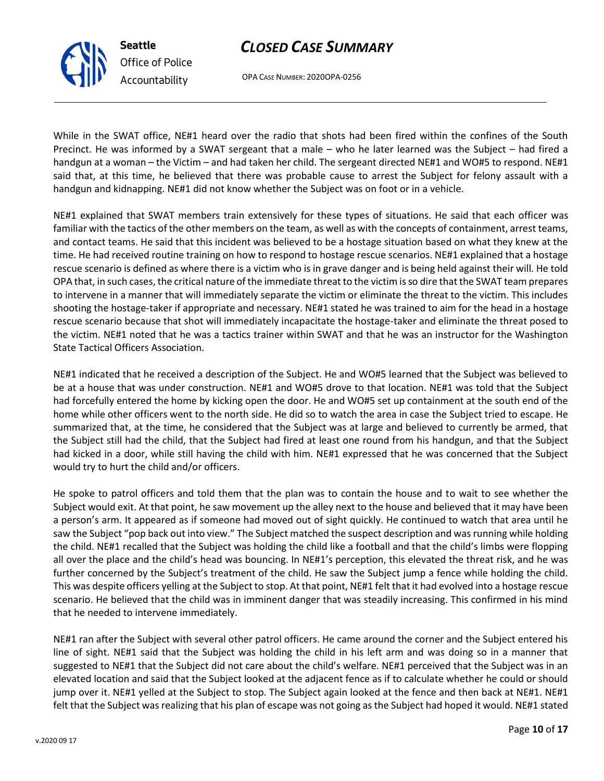

OPA CASE NUMBER: 2020OPA-0256

While in the SWAT office, NE#1 heard over the radio that shots had been fired within the confines of the South Precinct. He was informed by a SWAT sergeant that a male – who he later learned was the Subject – had fired a handgun at a woman – the Victim – and had taken her child. The sergeant directed NE#1 and WO#5 to respond. NE#1 said that, at this time, he believed that there was probable cause to arrest the Subject for felony assault with a handgun and kidnapping. NE#1 did not know whether the Subject was on foot or in a vehicle.

NE#1 explained that SWAT members train extensively for these types of situations. He said that each officer was familiar with the tactics of the other members on the team, as well as with the concepts of containment, arrest teams, and contact teams. He said that this incident was believed to be a hostage situation based on what they knew at the time. He had received routine training on how to respond to hostage rescue scenarios. NE#1 explained that a hostage rescue scenario is defined as where there is a victim who is in grave danger and is being held against their will. He told OPA that, in such cases, the critical nature of the immediate threat to the victim is so dire that the SWAT team prepares to intervene in a manner that will immediately separate the victim or eliminate the threat to the victim. This includes shooting the hostage-taker if appropriate and necessary. NE#1 stated he was trained to aim for the head in a hostage rescue scenario because that shot will immediately incapacitate the hostage-taker and eliminate the threat posed to the victim. NE#1 noted that he was a tactics trainer within SWAT and that he was an instructor for the Washington State Tactical Officers Association.

NE#1 indicated that he received a description of the Subject. He and WO#5 learned that the Subject was believed to be at a house that was under construction. NE#1 and WO#5 drove to that location. NE#1 was told that the Subject had forcefully entered the home by kicking open the door. He and WO#5 set up containment at the south end of the home while other officers went to the north side. He did so to watch the area in case the Subject tried to escape. He summarized that, at the time, he considered that the Subject was at large and believed to currently be armed, that the Subject still had the child, that the Subject had fired at least one round from his handgun, and that the Subject had kicked in a door, while still having the child with him. NE#1 expressed that he was concerned that the Subject would try to hurt the child and/or officers.

He spoke to patrol officers and told them that the plan was to contain the house and to wait to see whether the Subject would exit. At that point, he saw movement up the alley next to the house and believed that it may have been a person's arm. It appeared as if someone had moved out of sight quickly. He continued to watch that area until he saw the Subject "pop back out into view." The Subject matched the suspect description and was running while holding the child. NE#1 recalled that the Subject was holding the child like a football and that the child's limbs were flopping all over the place and the child's head was bouncing. In NE#1's perception, this elevated the threat risk, and he was further concerned by the Subject's treatment of the child. He saw the Subject jump a fence while holding the child. This was despite officers yelling at the Subject to stop. At that point, NE#1 felt that it had evolved into a hostage rescue scenario. He believed that the child was in imminent danger that was steadily increasing. This confirmed in his mind that he needed to intervene immediately.

NE#1 ran after the Subject with several other patrol officers. He came around the corner and the Subject entered his line of sight. NE#1 said that the Subject was holding the child in his left arm and was doing so in a manner that suggested to NE#1 that the Subject did not care about the child's welfare. NE#1 perceived that the Subject was in an elevated location and said that the Subject looked at the adjacent fence as if to calculate whether he could or should jump over it. NE#1 yelled at the Subject to stop. The Subject again looked at the fence and then back at NE#1. NE#1 felt that the Subject was realizing that his plan of escape was not going as the Subject had hoped it would. NE#1 stated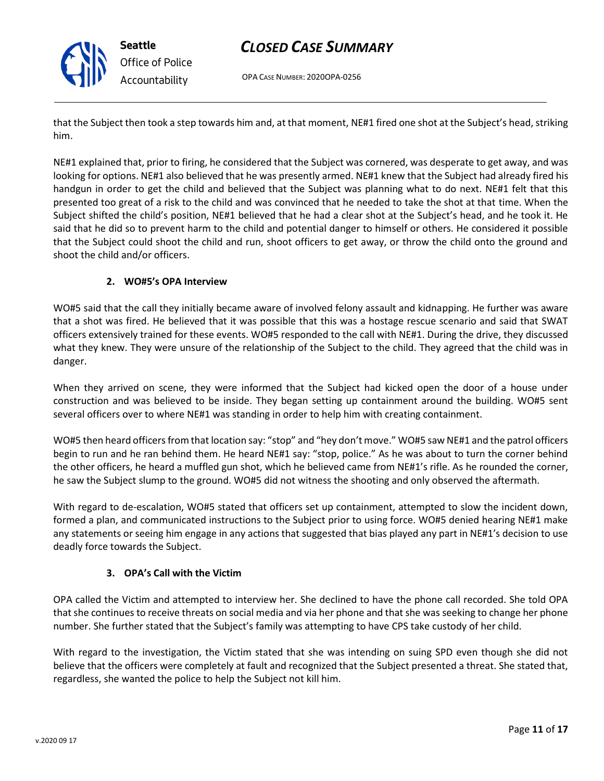

OPA CASE NUMBER: 2020OPA-0256

that the Subject then took a step towards him and, at that moment, NE#1 fired one shot at the Subject's head, striking him.

NE#1 explained that, prior to firing, he considered that the Subject was cornered, was desperate to get away, and was looking for options. NE#1 also believed that he was presently armed. NE#1 knew that the Subject had already fired his handgun in order to get the child and believed that the Subject was planning what to do next. NE#1 felt that this presented too great of a risk to the child and was convinced that he needed to take the shot at that time. When the Subject shifted the child's position, NE#1 believed that he had a clear shot at the Subject's head, and he took it. He said that he did so to prevent harm to the child and potential danger to himself or others. He considered it possible that the Subject could shoot the child and run, shoot officers to get away, or throw the child onto the ground and shoot the child and/or officers.

# **2. WO#5's OPA Interview**

WO#5 said that the call they initially became aware of involved felony assault and kidnapping. He further was aware that a shot was fired. He believed that it was possible that this was a hostage rescue scenario and said that SWAT officers extensively trained for these events. WO#5 responded to the call with NE#1. During the drive, they discussed what they knew. They were unsure of the relationship of the Subject to the child. They agreed that the child was in danger.

When they arrived on scene, they were informed that the Subject had kicked open the door of a house under construction and was believed to be inside. They began setting up containment around the building. WO#5 sent several officers over to where NE#1 was standing in order to help him with creating containment.

WO#5 then heard officers from that location say: "stop" and "hey don't move." WO#5 saw NE#1 and the patrol officers begin to run and he ran behind them. He heard NE#1 say: "stop, police." As he was about to turn the corner behind the other officers, he heard a muffled gun shot, which he believed came from NE#1's rifle. As he rounded the corner, he saw the Subject slump to the ground. WO#5 did not witness the shooting and only observed the aftermath.

With regard to de-escalation, WO#5 stated that officers set up containment, attempted to slow the incident down, formed a plan, and communicated instructions to the Subject prior to using force. WO#5 denied hearing NE#1 make any statements or seeing him engage in any actions that suggested that bias played any part in NE#1's decision to use deadly force towards the Subject.

# **3. OPA's Call with the Victim**

OPA called the Victim and attempted to interview her. She declined to have the phone call recorded. She told OPA that she continues to receive threats on social media and via her phone and that she was seeking to change her phone number. She further stated that the Subject's family was attempting to have CPS take custody of her child.

With regard to the investigation, the Victim stated that she was intending on suing SPD even though she did not believe that the officers were completely at fault and recognized that the Subject presented a threat. She stated that, regardless, she wanted the police to help the Subject not kill him.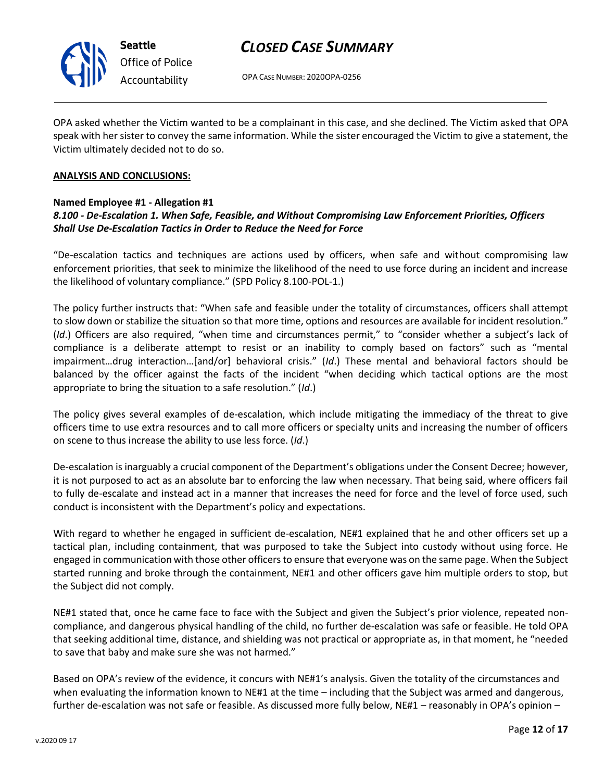

# *CLOSED CASE SUMMARY*

OPA CASE NUMBER: 2020OPA-0256

OPA asked whether the Victim wanted to be a complainant in this case, and she declined. The Victim asked that OPA speak with her sister to convey the same information. While the sister encouraged the Victim to give a statement, the Victim ultimately decided not to do so.

#### **ANALYSIS AND CONCLUSIONS:**

### **Named Employee #1 - Allegation #1**

# *8.100 - De-Escalation 1. When Safe, Feasible, and Without Compromising Law Enforcement Priorities, Officers Shall Use De-Escalation Tactics in Order to Reduce the Need for Force*

"De-escalation tactics and techniques are actions used by officers, when safe and without compromising law enforcement priorities, that seek to minimize the likelihood of the need to use force during an incident and increase the likelihood of voluntary compliance." (SPD Policy 8.100-POL-1.)

The policy further instructs that: "When safe and feasible under the totality of circumstances, officers shall attempt to slow down or stabilize the situation so that more time, options and resources are available for incident resolution." (*Id*.) Officers are also required, "when time and circumstances permit," to "consider whether a subject's lack of compliance is a deliberate attempt to resist or an inability to comply based on factors" such as "mental impairment…drug interaction…[and/or] behavioral crisis." (*Id*.) These mental and behavioral factors should be balanced by the officer against the facts of the incident "when deciding which tactical options are the most appropriate to bring the situation to a safe resolution." (*Id*.)

The policy gives several examples of de-escalation, which include mitigating the immediacy of the threat to give officers time to use extra resources and to call more officers or specialty units and increasing the number of officers on scene to thus increase the ability to use less force. (*Id*.)

De-escalation is inarguably a crucial component of the Department's obligations under the Consent Decree; however, it is not purposed to act as an absolute bar to enforcing the law when necessary. That being said, where officers fail to fully de-escalate and instead act in a manner that increases the need for force and the level of force used, such conduct is inconsistent with the Department's policy and expectations.

With regard to whether he engaged in sufficient de-escalation, NE#1 explained that he and other officers set up a tactical plan, including containment, that was purposed to take the Subject into custody without using force. He engaged in communication with those other officers to ensure that everyone was on the same page. When the Subject started running and broke through the containment, NE#1 and other officers gave him multiple orders to stop, but the Subject did not comply.

NE#1 stated that, once he came face to face with the Subject and given the Subject's prior violence, repeated noncompliance, and dangerous physical handling of the child, no further de-escalation was safe or feasible. He told OPA that seeking additional time, distance, and shielding was not practical or appropriate as, in that moment, he "needed to save that baby and make sure she was not harmed."

Based on OPA's review of the evidence, it concurs with NE#1's analysis. Given the totality of the circumstances and when evaluating the information known to NE#1 at the time – including that the Subject was armed and dangerous, further de-escalation was not safe or feasible. As discussed more fully below, NE#1 – reasonably in OPA's opinion –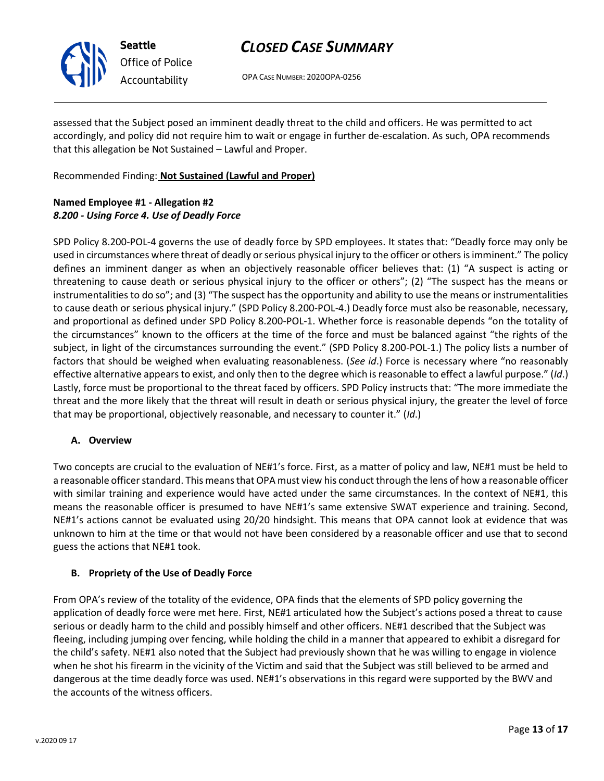

# *CLOSED CASE SUMMARY*

OPA CASE NUMBER: 2020OPA-0256

assessed that the Subject posed an imminent deadly threat to the child and officers. He was permitted to act accordingly, and policy did not require him to wait or engage in further de-escalation. As such, OPA recommends that this allegation be Not Sustained – Lawful and Proper.

Recommended Finding: **Not Sustained (Lawful and Proper)**

# **Named Employee #1 - Allegation #2** *8.200 - Using Force 4. Use of Deadly Force*

SPD Policy 8.200-POL-4 governs the use of deadly force by SPD employees. It states that: "Deadly force may only be used in circumstances where threat of deadly or serious physical injury to the officer or others is imminent." The policy defines an imminent danger as when an objectively reasonable officer believes that: (1) "A suspect is acting or threatening to cause death or serious physical injury to the officer or others"; (2) "The suspect has the means or instrumentalities to do so"; and (3) "The suspect has the opportunity and ability to use the means or instrumentalities to cause death or serious physical injury." (SPD Policy 8.200-POL-4.) Deadly force must also be reasonable, necessary, and proportional as defined under SPD Policy 8.200-POL-1. Whether force is reasonable depends "on the totality of the circumstances" known to the officers at the time of the force and must be balanced against "the rights of the subject, in light of the circumstances surrounding the event." (SPD Policy 8.200-POL-1.) The policy lists a number of factors that should be weighed when evaluating reasonableness. (*See id*.) Force is necessary where "no reasonably effective alternative appears to exist, and only then to the degree which is reasonable to effect a lawful purpose." (*Id*.) Lastly, force must be proportional to the threat faced by officers. SPD Policy instructs that: "The more immediate the threat and the more likely that the threat will result in death or serious physical injury, the greater the level of force that may be proportional, objectively reasonable, and necessary to counter it." (*Id*.)

# **A. Overview**

Two concepts are crucial to the evaluation of NE#1's force. First, as a matter of policy and law, NE#1 must be held to a reasonable officer standard. This means that OPA must view his conduct through the lens of how a reasonable officer with similar training and experience would have acted under the same circumstances. In the context of NE#1, this means the reasonable officer is presumed to have NE#1's same extensive SWAT experience and training. Second, NE#1's actions cannot be evaluated using 20/20 hindsight. This means that OPA cannot look at evidence that was unknown to him at the time or that would not have been considered by a reasonable officer and use that to second guess the actions that NE#1 took.

# **B. Propriety of the Use of Deadly Force**

From OPA's review of the totality of the evidence, OPA finds that the elements of SPD policy governing the application of deadly force were met here. First, NE#1 articulated how the Subject's actions posed a threat to cause serious or deadly harm to the child and possibly himself and other officers. NE#1 described that the Subject was fleeing, including jumping over fencing, while holding the child in a manner that appeared to exhibit a disregard for the child's safety. NE#1 also noted that the Subject had previously shown that he was willing to engage in violence when he shot his firearm in the vicinity of the Victim and said that the Subject was still believed to be armed and dangerous at the time deadly force was used. NE#1's observations in this regard were supported by the BWV and the accounts of the witness officers.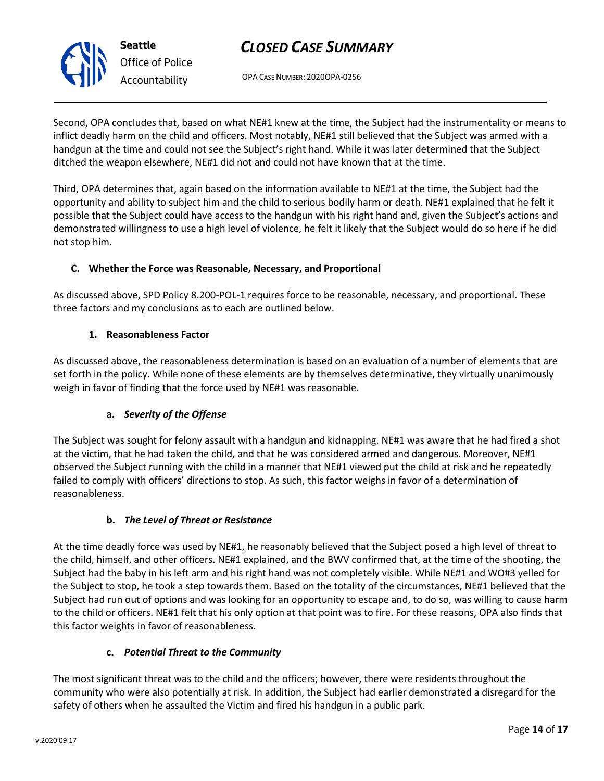OPA CASE NUMBER: 2020OPA-0256

Second, OPA concludes that, based on what NE#1 knew at the time, the Subject had the instrumentality or means to inflict deadly harm on the child and officers. Most notably, NE#1 still believed that the Subject was armed with a handgun at the time and could not see the Subject's right hand. While it was later determined that the Subject ditched the weapon elsewhere, NE#1 did not and could not have known that at the time.

Third, OPA determines that, again based on the information available to NE#1 at the time, the Subject had the opportunity and ability to subject him and the child to serious bodily harm or death. NE#1 explained that he felt it possible that the Subject could have access to the handgun with his right hand and, given the Subject's actions and demonstrated willingness to use a high level of violence, he felt it likely that the Subject would do so here if he did not stop him.

# **C. Whether the Force was Reasonable, Necessary, and Proportional**

As discussed above, SPD Policy 8.200-POL-1 requires force to be reasonable, necessary, and proportional. These three factors and my conclusions as to each are outlined below.

# **1. Reasonableness Factor**

As discussed above, the reasonableness determination is based on an evaluation of a number of elements that are set forth in the policy. While none of these elements are by themselves determinative, they virtually unanimously weigh in favor of finding that the force used by NE#1 was reasonable.

# **a.** *Severity of the Offense*

The Subject was sought for felony assault with a handgun and kidnapping. NE#1 was aware that he had fired a shot at the victim, that he had taken the child, and that he was considered armed and dangerous. Moreover, NE#1 observed the Subject running with the child in a manner that NE#1 viewed put the child at risk and he repeatedly failed to comply with officers' directions to stop. As such, this factor weighs in favor of a determination of reasonableness.

# **b.** *The Level of Threat or Resistance*

At the time deadly force was used by NE#1, he reasonably believed that the Subject posed a high level of threat to the child, himself, and other officers. NE#1 explained, and the BWV confirmed that, at the time of the shooting, the Subject had the baby in his left arm and his right hand was not completely visible. While NE#1 and WO#3 yelled for the Subject to stop, he took a step towards them. Based on the totality of the circumstances, NE#1 believed that the Subject had run out of options and was looking for an opportunity to escape and, to do so, was willing to cause harm to the child or officers. NE#1 felt that his only option at that point was to fire. For these reasons, OPA also finds that this factor weights in favor of reasonableness.

# **c.** *Potential Threat to the Community*

The most significant threat was to the child and the officers; however, there were residents throughout the community who were also potentially at risk. In addition, the Subject had earlier demonstrated a disregard for the safety of others when he assaulted the Victim and fired his handgun in a public park.



**Seattle** *Office of Police Accountability*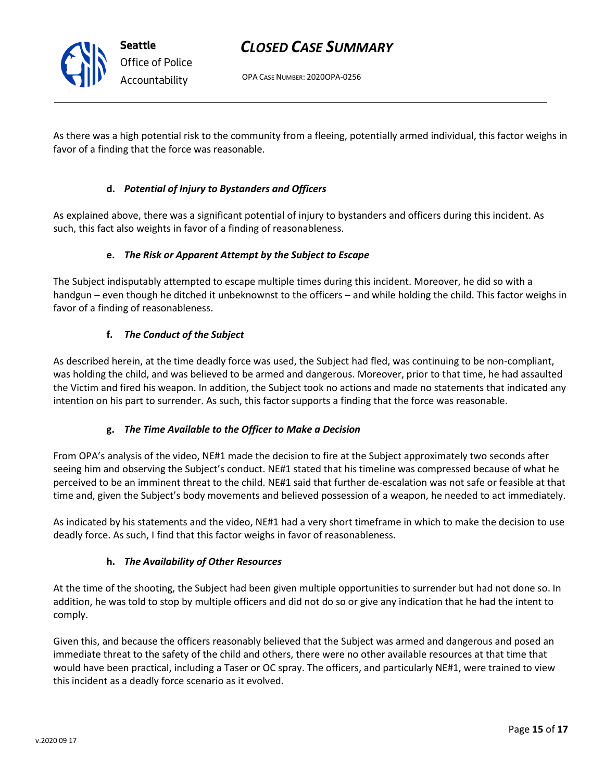OPA CASE NUMBER: 2020OPA-0256

As there was a high potential risk to the community from a fleeing, potentially armed individual, this factor weighs in favor of a finding that the force was reasonable.

# **d.** *Potential of Injury to Bystanders and Officers*

As explained above, there was a significant potential of injury to bystanders and officers during this incident. As such, this fact also weights in favor of a finding of reasonableness.

# **e.** *The Risk or Apparent Attempt by the Subject to Escape*

The Subject indisputably attempted to escape multiple times during this incident. Moreover, he did so with a handgun – even though he ditched it unbeknownst to the officers – and while holding the child. This factor weighs in favor of a finding of reasonableness.

# **f.** *The Conduct of the Subject*

**Seattle**

*Office of Police Accountability*

As described herein, at the time deadly force was used, the Subject had fled, was continuing to be non-compliant, was holding the child, and was believed to be armed and dangerous. Moreover, prior to that time, he had assaulted the Victim and fired his weapon. In addition, the Subject took no actions and made no statements that indicated any intention on his part to surrender. As such, this factor supports a finding that the force was reasonable.

# **g.** *The Time Available to the Officer to Make a Decision*

From OPA's analysis of the video, NE#1 made the decision to fire at the Subject approximately two seconds after seeing him and observing the Subject's conduct. NE#1 stated that his timeline was compressed because of what he perceived to be an imminent threat to the child. NE#1 said that further de-escalation was not safe or feasible at that time and, given the Subject's body movements and believed possession of a weapon, he needed to act immediately.

As indicated by his statements and the video, NE#1 had a very short timeframe in which to make the decision to use deadly force. As such, I find that this factor weighs in favor of reasonableness.

# **h.** *The Availability of Other Resources*

At the time of the shooting, the Subject had been given multiple opportunities to surrender but had not done so. In addition, he was told to stop by multiple officers and did not do so or give any indication that he had the intent to comply.

Given this, and because the officers reasonably believed that the Subject was armed and dangerous and posed an immediate threat to the safety of the child and others, there were no other available resources at that time that would have been practical, including a Taser or OC spray. The officers, and particularly NE#1, were trained to view this incident as a deadly force scenario as it evolved.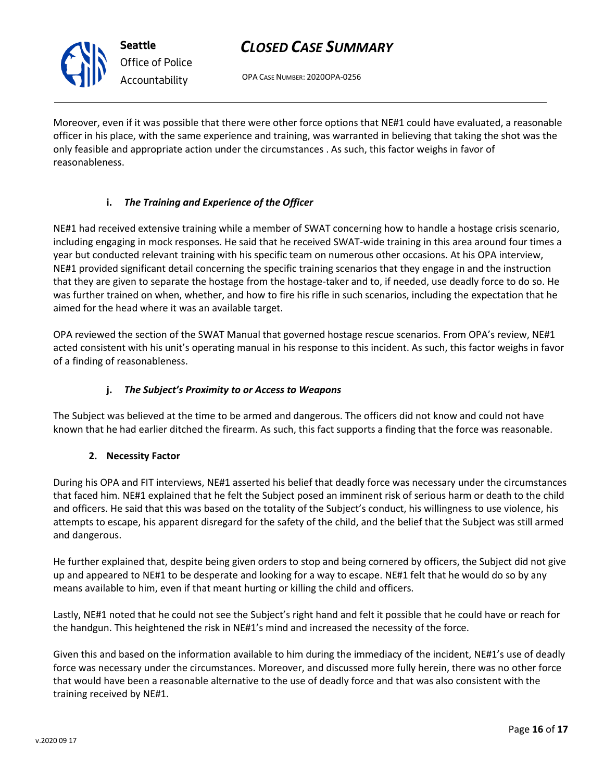# *CLOSED CASE SUMMARY*

OPA CASE NUMBER: 2020OPA-0256

Moreover, even if it was possible that there were other force options that NE#1 could have evaluated, a reasonable officer in his place, with the same experience and training, was warranted in believing that taking the shot was the only feasible and appropriate action under the circumstances . As such, this factor weighs in favor of reasonableness.

# **i.** *The Training and Experience of the Officer*

NE#1 had received extensive training while a member of SWAT concerning how to handle a hostage crisis scenario, including engaging in mock responses. He said that he received SWAT-wide training in this area around four times a year but conducted relevant training with his specific team on numerous other occasions. At his OPA interview, NE#1 provided significant detail concerning the specific training scenarios that they engage in and the instruction that they are given to separate the hostage from the hostage-taker and to, if needed, use deadly force to do so. He was further trained on when, whether, and how to fire his rifle in such scenarios, including the expectation that he aimed for the head where it was an available target.

OPA reviewed the section of the SWAT Manual that governed hostage rescue scenarios. From OPA's review, NE#1 acted consistent with his unit's operating manual in his response to this incident. As such, this factor weighs in favor of a finding of reasonableness.

# **j.** *The Subject's Proximity to or Access to Weapons*

The Subject was believed at the time to be armed and dangerous. The officers did not know and could not have known that he had earlier ditched the firearm. As such, this fact supports a finding that the force was reasonable.

# **2. Necessity Factor**

During his OPA and FIT interviews, NE#1 asserted his belief that deadly force was necessary under the circumstances that faced him. NE#1 explained that he felt the Subject posed an imminent risk of serious harm or death to the child and officers. He said that this was based on the totality of the Subject's conduct, his willingness to use violence, his attempts to escape, his apparent disregard for the safety of the child, and the belief that the Subject was still armed and dangerous.

He further explained that, despite being given orders to stop and being cornered by officers, the Subject did not give up and appeared to NE#1 to be desperate and looking for a way to escape. NE#1 felt that he would do so by any means available to him, even if that meant hurting or killing the child and officers.

Lastly, NE#1 noted that he could not see the Subject's right hand and felt it possible that he could have or reach for the handgun. This heightened the risk in NE#1's mind and increased the necessity of the force.

Given this and based on the information available to him during the immediacy of the incident, NE#1's use of deadly force was necessary under the circumstances. Moreover, and discussed more fully herein, there was no other force that would have been a reasonable alternative to the use of deadly force and that was also consistent with the training received by NE#1.